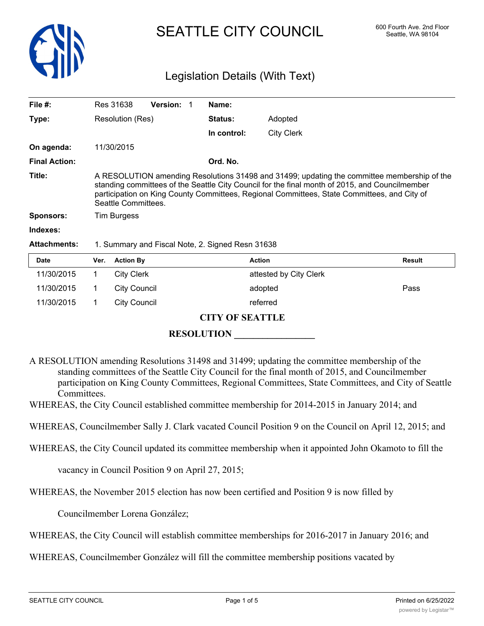

# SEATTLE CITY COUNCIL 600 Fourth Ave. 2nd Floor

## Legislation Details (With Text)

| File #:              | Version:<br>Res 31638                                                                                                                                                                                                                                                                                               | Name:          |                        |               |
|----------------------|---------------------------------------------------------------------------------------------------------------------------------------------------------------------------------------------------------------------------------------------------------------------------------------------------------------------|----------------|------------------------|---------------|
|                      |                                                                                                                                                                                                                                                                                                                     |                |                        |               |
| Type:                | Resolution (Res)                                                                                                                                                                                                                                                                                                    | <b>Status:</b> | Adopted                |               |
|                      |                                                                                                                                                                                                                                                                                                                     | In control:    | <b>City Clerk</b>      |               |
| On agenda:           | 11/30/2015                                                                                                                                                                                                                                                                                                          |                |                        |               |
| <b>Final Action:</b> |                                                                                                                                                                                                                                                                                                                     | Ord. No.       |                        |               |
| Title:               | A RESOLUTION amending Resolutions 31498 and 31499; updating the committee membership of the<br>standing committees of the Seattle City Council for the final month of 2015, and Councilmember<br>participation on King County Committees, Regional Committees, State Committees, and City of<br>Seattle Committees. |                |                        |               |
| <b>Sponsors:</b>     | Tim Burgess                                                                                                                                                                                                                                                                                                         |                |                        |               |
| Indexes:             |                                                                                                                                                                                                                                                                                                                     |                |                        |               |
| <b>Attachments:</b>  | 1. Summary and Fiscal Note, 2. Signed Resn 31638                                                                                                                                                                                                                                                                    |                |                        |               |
| Date                 | <b>Action By</b><br>Ver.                                                                                                                                                                                                                                                                                            |                | <b>Action</b>          | <b>Result</b> |
| 11/30/2015           | <b>City Clerk</b>                                                                                                                                                                                                                                                                                                   |                | attested by City Clerk |               |

**CITY OF SEATTLE**

11/30/2015 1 City Council adopted and adopted Pass

#### **RESOLUTION \_\_\_\_\_\_\_\_\_\_\_\_\_\_\_\_\_**

- A RESOLUTION amending Resolutions 31498 and 31499; updating the committee membership of the standing committees of the Seattle City Council for the final month of 2015, and Councilmember participation on King County Committees, Regional Committees, State Committees, and City of Seattle Committees.
- WHEREAS, the City Council established committee membership for 2014-2015 in January 2014; and
- WHEREAS, Councilmember Sally J. Clark vacated Council Position 9 on the Council on April 12, 2015; and
- WHEREAS, the City Council updated its committee membership when it appointed John Okamoto to fill the

vacancy in Council Position 9 on April 27, 2015;

11/30/2015 1 City Council 11/30/2015

WHEREAS, the November 2015 election has now been certified and Position 9 is now filled by

Councilmember Lorena González;

WHEREAS, the City Council will establish committee memberships for 2016-2017 in January 2016; and

WHEREAS, Councilmember González will fill the committee membership positions vacated by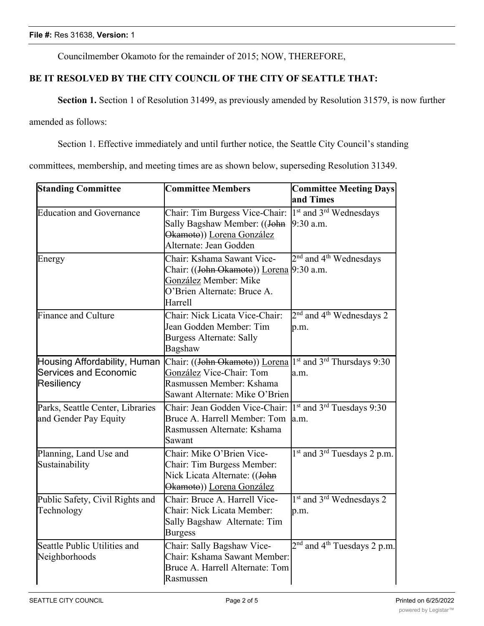Councilmember Okamoto for the remainder of 2015; NOW, THEREFORE,

#### **BE IT RESOLVED BY THE CITY COUNCIL OF THE CITY OF SEATTLE THAT:**

**Section 1.** Section 1 of Resolution 31499, as previously amended by Resolution 31579, is now further

amended as follows:

Section 1. Effective immediately and until further notice, the Seattle City Council's standing

committees, membership, and meeting times are as shown below, superseding Resolution 31349.

| <b>Standing Committee</b>                                                  | <b>Committee Members</b>                                                                                                                  | <b>Committee Meeting Days</b><br>and Times                  |
|----------------------------------------------------------------------------|-------------------------------------------------------------------------------------------------------------------------------------------|-------------------------------------------------------------|
| Education and Governance                                                   | Chair: Tim Burgess Vice-Chair:<br>Sally Bagshaw Member: ((John<br>Okamoto)) Lorena González<br>Alternate: Jean Godden                     | <sup>1st</sup> and <sup>3rd</sup> Wednesdays<br>9:30 a.m.   |
| Energy                                                                     | Chair: Kshama Sawant Vice-<br>Chair: ((John Okamoto)) Lorena 9:30 a.m.<br>González Member: Mike<br>O'Brien Alternate: Bruce A.<br>Harrell | 2 <sup>nd</sup> and 4 <sup>th</sup> Wednesdays              |
| Finance and Culture                                                        | Chair: Nick Licata Vice-Chair:<br>Jean Godden Member: Tim<br><b>Burgess Alternate: Sally</b><br>Bagshaw                                   | 2 <sup>nd</sup> and 4 <sup>th</sup> Wednesdays 2<br>p.m.    |
| Housing Affordability, Human<br><b>Services and Economic</b><br>Resiliency | Chair: ((John Okamoto)) Lorena<br>González Vice-Chair: Tom<br>Rasmussen Member: Kshama<br>Sawant Alternate: Mike O'Brien                  | 1 <sup>st</sup> and 3 <sup>rd</sup> Thursdays 9:30<br>la.m. |
| Parks, Seattle Center, Libraries<br>and Gender Pay Equity                  | Chair: Jean Godden Vice-Chair:<br>Bruce A. Harrell Member: Tom<br>Rasmussen Alternate: Kshama<br>Sawant                                   | 1 <sup>st</sup> and 3 <sup>rd</sup> Tuesdays 9:30<br>a.m.   |
| Planning, Land Use and<br>Sustainability                                   | Chair: Mike O'Brien Vice-<br>Chair: Tim Burgess Member:<br>Nick Licata Alternate: ((John<br>Okamoto)) Lorena González                     | 1 <sup>st</sup> and $3^{rd}$ Tuesdays 2 p.m.                |
| Public Safety, Civil Rights and<br>Technology                              | Chair: Bruce A. Harrell Vice-<br>Chair: Nick Licata Member:<br>Sally Bagshaw Alternate: Tim<br><b>Burgess</b>                             | 1 <sup>st</sup> and 3 <sup>rd</sup> Wednesdays 2<br>p.m.    |
| Seattle Public Utilities and<br>Neighborhoods                              | Chair: Sally Bagshaw Vice-<br>Chair: Kshama Sawant Member:<br>Bruce A. Harrell Alternate: Tom<br>Rasmussen                                | $2nd$ and 4 <sup>th</sup> Tuesdays 2 p.m.                   |

2nd and 4th Tuesdays 9:30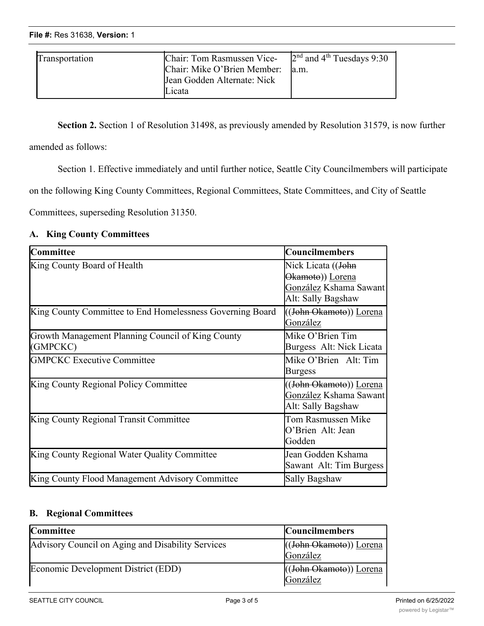Neighborhoods

| Transportation | Chair: Tom Rasmussen Vice-<br>Chair: Mike O'Brien Member:<br>Jean Godden Alternate: Nick<br>Licata | $2nd$ and 4 <sup>th</sup> Tuesdays 9:30<br>a.m. |
|----------------|----------------------------------------------------------------------------------------------------|-------------------------------------------------|

Chair: Kshama Sawant Member:

**Section 2.** Section 1 of Resolution 31498, as previously amended by Resolution 31579, is now further

amended as follows:

Section 1. Effective immediately and until further notice, Seattle City Councilmembers will participate

on the following King County Committees, Regional Committees, State Committees, and City of Seattle

Committees, superseding Resolution 31350.

#### **A. King County Committees**

| Committee                                                     | <b>Councilmembers</b>                                                                  |
|---------------------------------------------------------------|----------------------------------------------------------------------------------------|
| King County Board of Health                                   | Nick Licata ((John<br>Okamoto)) Lorena<br>González Kshama Sawant<br>Alt: Sally Bagshaw |
| King County Committee to End Homelessness Governing Board     | (John Okamoto)) Lorena<br>González                                                     |
| Growth Management Planning Council of King County<br>(GMPCKC) | Mike O'Brien Tim<br>Burgess Alt: Nick Licata                                           |
| <b>GMPCKC Executive Committee</b>                             | Mike O'Brien Alt: Tim<br><b>Burgess</b>                                                |
| King County Regional Policy Committee                         | ((John Okamoto)) Lorena<br>González Kshama Sawant<br>Alt: Sally Bagshaw                |
| King County Regional Transit Committee                        | Tom Rasmussen Mike<br>O'Brien Alt: Jean<br>Godden                                      |
| King County Regional Water Quality Committee                  | Jean Godden Kshama<br>Sawant Alt: Tim Burgess                                          |
| King County Flood Management Advisory Committee               | Sally Bagshaw                                                                          |

#### **B. Regional Committees**

| <b>Committee</b>                                  | <b>Councilmembers</b>               |
|---------------------------------------------------|-------------------------------------|
| Advisory Council on Aging and Disability Services | ((John Okamoto)) Lorena<br>González |
| Economic Development District (EDD)               | ((John Okamoto)) Lorena<br>González |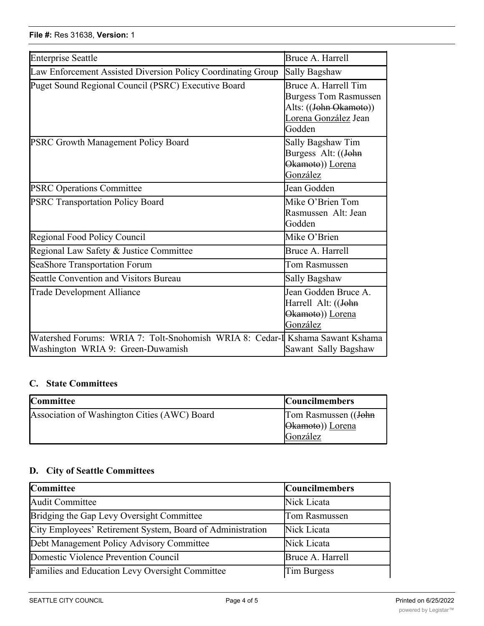| <b>Enterprise Seattle</b>                                                                                          | Bruce A. Harrell                                                                                                 |
|--------------------------------------------------------------------------------------------------------------------|------------------------------------------------------------------------------------------------------------------|
| Law Enforcement Assisted Diversion Policy Coordinating Group                                                       | Sally Bagshaw                                                                                                    |
| Puget Sound Regional Council (PSRC) Executive Board                                                                | Bruce A. Harrell Tim<br><b>Burgess Tom Rasmussen</b><br>Alts: ((John Okamoto))<br>Lorena González Jean<br>Godden |
| PSRC Growth Management Policy Board                                                                                | Sally Bagshaw Tim<br>Burgess Alt: ((John<br>Okamoto)) Lorena<br>González                                         |
| <b>PSRC Operations Committee</b>                                                                                   | Jean Godden                                                                                                      |
| <b>PSRC Transportation Policy Board</b>                                                                            | Mike O'Brien Tom<br>Rasmussen Alt: Jean<br>Godden                                                                |
| Regional Food Policy Council                                                                                       | Mike O'Brien                                                                                                     |
| Regional Law Safety & Justice Committee                                                                            | Bruce A. Harrell                                                                                                 |
| SeaShore Transportation Forum                                                                                      | Tom Rasmussen                                                                                                    |
| Seattle Convention and Visitors Bureau                                                                             | Sally Bagshaw                                                                                                    |
| <b>Trade Development Alliance</b>                                                                                  | Jean Godden Bruce A.<br>Harrell Alt: ((John<br>Okamoto)) Lorena<br>González                                      |
| Watershed Forums: WRIA 7: Tolt-Snohomish WRIA 8: Cedar-I Kshama Sawant Kshama<br>Washington WRIA 9: Green-Duwamish | Sawant Sally Bagshaw                                                                                             |

### **C. State Committees**

| <b>Committee</b>                             | <b>Councilmembers</b>                    |
|----------------------------------------------|------------------------------------------|
| Association of Washington Cities (AWC) Board | Tom Rasmussen ((John<br>Okamoto)) Lorena |
|                                              | González                                 |

## **D. City of Seattle Committees**

| Committee                                                  | <b>Councilmembers</b> |
|------------------------------------------------------------|-----------------------|
| Audit Committee                                            | Nick Licata           |
| Bridging the Gap Levy Oversight Committee                  | Tom Rasmussen         |
| City Employees' Retirement System, Board of Administration | Nick Licata           |
| Debt Management Policy Advisory Committee                  | Nick Licata           |
| Domestic Violence Prevention Council                       | Bruce A. Harrell      |
| Families and Education Levy Oversight Committee            | <b>Tim Burgess</b>    |

Licata